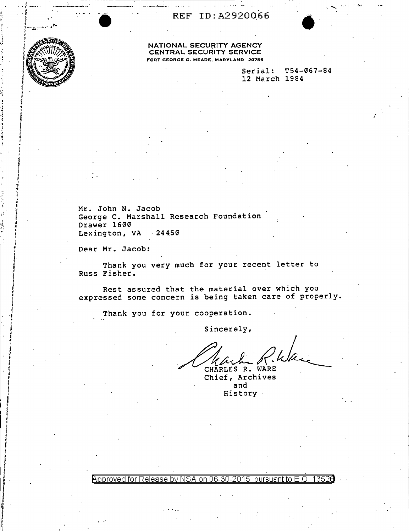REF ID:A2920066



## NATIONAL SECURITY AGENCY CENTRAL SECURITY SERVICE FORT GEORGE G. MEADE, MARYLAND 20755

Serial: T54-067-84 12 March 1984

Mr. John N. Jacob George C. Marshall Research Foundation Drawer 1600 Lexington, VA 24450

Dear Mr. Jacob:

Thank you very much for your recent letter to Russ Fisher.

Rest assured that the material over which you expressed some concern is being taken care of properly.

Thank you for your cooperation.

Sincerely,

CHARLES R. WARE

Chief, Archives and History

Approved for Release by NSA on 06-30-2015 pursuant to E.O. 13526